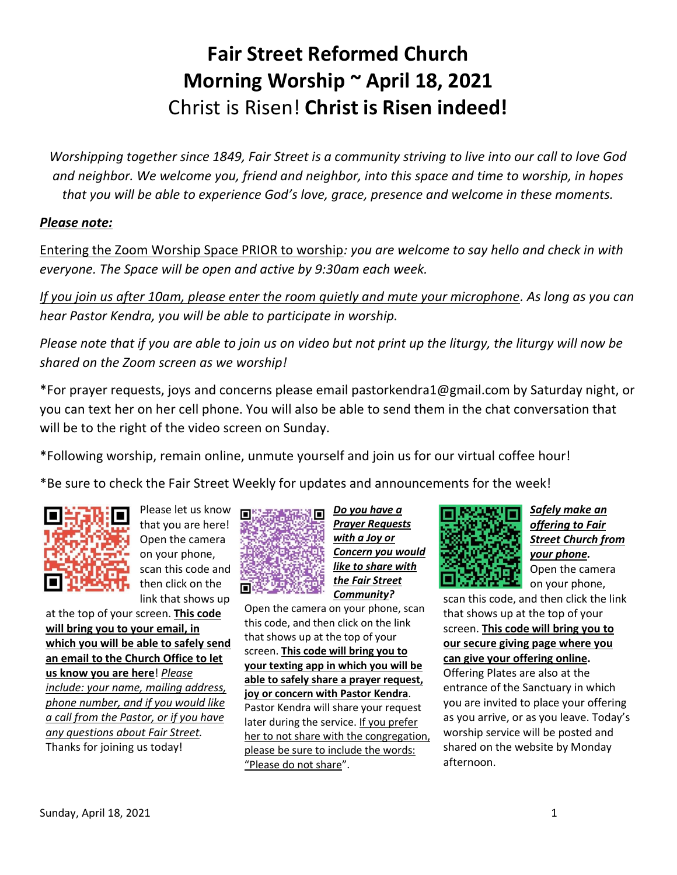## **Fair Street Reformed Church Morning Worship ~ April 18, 2021** Christ is Risen! **Christ is Risen indeed!**

*Worshipping together since 1849, Fair Street is a community striving to live into our call to love God and neighbor. We welcome you, friend and neighbor, into this space and time to worship, in hopes that you will be able to experience God's love, grace, presence and welcome in these moments.*

#### *Please note:*

Entering the Zoom Worship Space PRIOR to worship*: you are welcome to say hello and check in with everyone. The Space will be open and active by 9:30am each week.*

*If you join us after 10am, please enter the room quietly and mute your microphone. As long as you can hear Pastor Kendra, you will be able to participate in worship.*

*Please note that if you are able to join us on video but not print up the liturgy, the liturgy will now be shared on the Zoom screen as we worship!*

\*For prayer requests, joys and concerns please email pastorkendra1@gmail.com by Saturday night, or you can text her on her cell phone. You will also be able to send them in the chat conversation that will be to the right of the video screen on Sunday.

\*Following worship, remain online, unmute yourself and join us for our virtual coffee hour!

\*Be sure to check the Fair Street Weekly for updates and announcements for the week!



Please let us know that you are here! Open the camera on your phone, scan this code and then click on the link that shows up

at the top of your screen. **This code will bring you to your email, in which you will be able to safely send an email to the Church Office to let us know you are here**! *Please include: your name, mailing address, phone number, and if you would like a call from the Pastor, or if you have any questions about Fair Street.* Thanks for joining us today!



*Do you have a Prayer Requests with a Joy or Concern you would like to share with the Fair Street Community?*

Open the camera on your phone, scan this code, and then click on the link that shows up at the top of your screen. **This code will bring you to your texting app in which you will be able to safely share a prayer request, joy or concern with Pastor Kendra**. Pastor Kendra will share your request later during the service. If you prefer her to not share with the congregation, please be sure to include the words: "Please do not share".



*Safely make an offering to Fair Street Church from your phone.* Open the camera on your phone,

scan this code, and then click the link that shows up at the top of your screen. **This code will bring you to our secure giving page where you can give your offering online.** Offering Plates are also at the entrance of the Sanctuary in which you are invited to place your offering as you arrive, or as you leave. Today's worship service will be posted and shared on the website by Monday afternoon.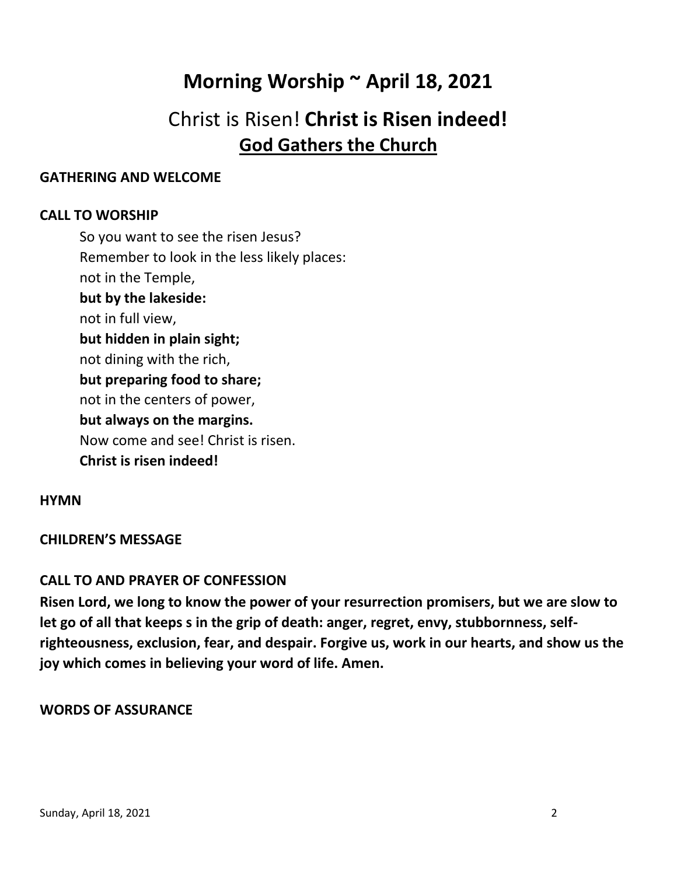## **Morning Worship ~ April 18, 2021**

## Christ is Risen! **Christ is Risen indeed! God Gathers the Church**

## **GATHERING AND WELCOME**

## **CALL TO WORSHIP**

So you want to see the risen Jesus? Remember to look in the less likely places: not in the Temple, **but by the lakeside:** not in full view, **but hidden in plain sight;** not dining with the rich, **but preparing food to share;** not in the centers of power, **but always on the margins.** Now come and see! Christ is risen. **Christ is risen indeed!**

## **HYMN**

## **CHILDREN'S MESSAGE**

## **CALL TO AND PRAYER OF CONFESSION**

**Risen Lord, we long to know the power of your resurrection promisers, but we are slow to let go of all that keeps s in the grip of death: anger, regret, envy, stubbornness, selfrighteousness, exclusion, fear, and despair. Forgive us, work in our hearts, and show us the joy which comes in believing your word of life. Amen.**

## **WORDS OF ASSURANCE**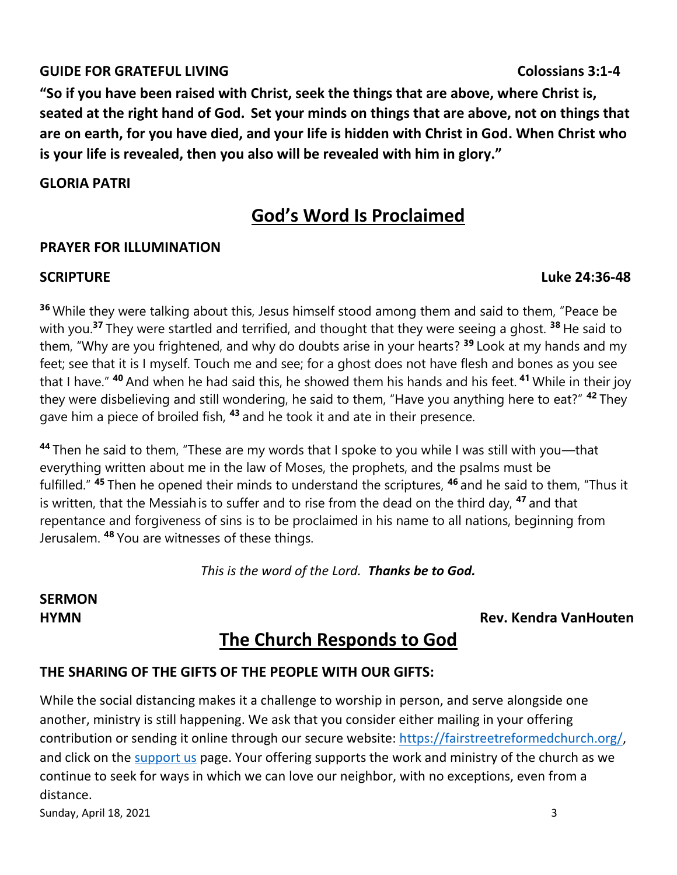## **GUIDE FOR GRATEFUL LIVING Colossians 3:1-4**

**"So if you have been raised with Christ, seek the things that are above, where Christ is, seated at the right hand of God. Set your minds on things that are above, not on things that are on earth, for you have died, and your life is hidden with Christ in God. When Christ who is your life is revealed, then you also will be revealed with him in glory."**

## **GLORIA PATRI**

## **God's Word Is Proclaimed**

## **PRAYER FOR ILLUMINATION**

**<sup>36</sup>** While they were talking about this, Jesus himself stood among them and said to them, "Peace be with you. **<sup>37</sup>** They were startled and terrified, and thought that they were seeing a ghost. **<sup>38</sup>** He said to them, "Why are you frightened, and why do doubts arise in your hearts? **<sup>39</sup>** Look at my hands and my feet; see that it is I myself. Touch me and see; for a ghost does not have flesh and bones as you see that I have." **<sup>40</sup>** And when he had said this, he showed them his hands and his feet. **<sup>41</sup>** While in their joy they were disbelieving and still wondering, he said to them, "Have you anything here to eat?" **<sup>42</sup>** They gave him a piece of broiled fish, **<sup>43</sup>** and he took it and ate in their presence.

**<sup>44</sup>** Then he said to them, "These are my words that I spoke to you while I was still with you—that everything written about me in the law of Moses, the prophets, and the psalms must be fulfilled." **<sup>45</sup>** Then he opened their minds to understand the scriptures, **<sup>46</sup>** and he said to them, "Thus it is written, that the Messiahis to suffer and to rise from the dead on the third day, **<sup>47</sup>** and that repentance and forgiveness of sins is to be proclaimed in his name to all nations, beginning from Jerusalem. **<sup>48</sup>** You are witnesses of these things.

*This is the word of the Lord. Thanks be to God.*

# **SERMON**

## **HYMN Rev. Kendra VanHouten**

## **The Church Responds to God**

## **THE SHARING OF THE GIFTS OF THE PEOPLE WITH OUR GIFTS:**

Sunday, April 18, 2021 3 While the social distancing makes it a challenge to worship in person, and serve alongside one another, ministry is still happening. We ask that you consider either mailing in your offering contribution or sending it online through our secure website: [https://fairstreetreformedchurch.org/,](https://fairstreetreformedchurch.org/) and click on the [support us](https://fairstreetreformedchurch.org/?page_id=212) page. Your offering supports the work and ministry of the church as we continue to seek for ways in which we can love our neighbor, with no exceptions, even from a distance.

#### **SCRIPTURE Luke 24:36-48**